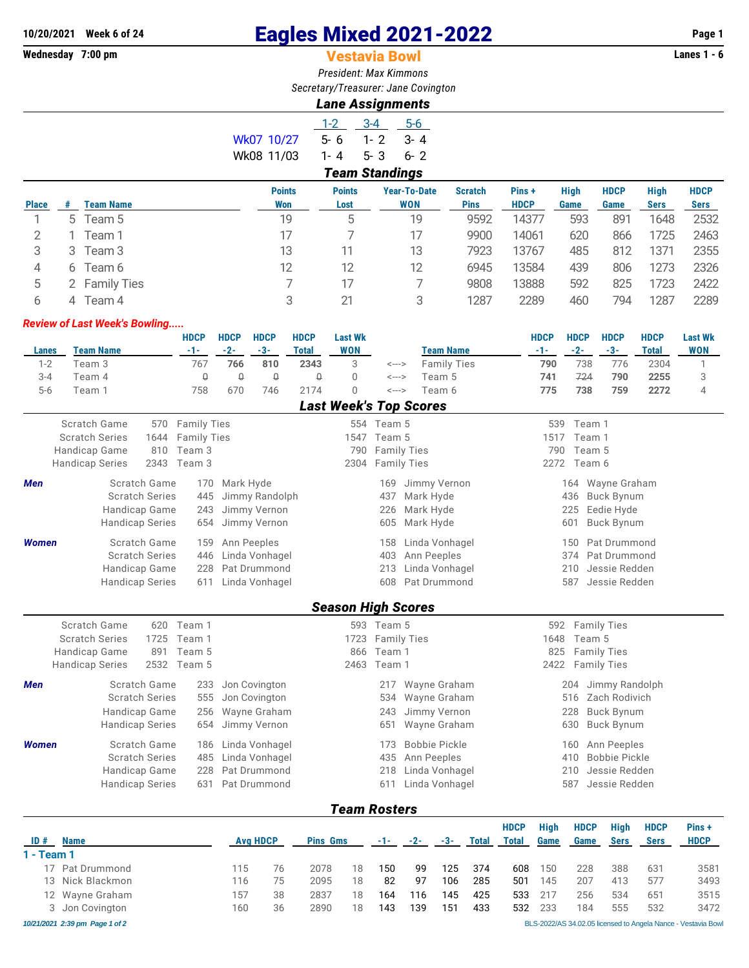# **10/20/2021 Week 6 of 24 Eagles Mixed 2021-2022 Page 1**

## Wednesday 7:00 pm **Constant Constant Constant Constant Constant Constant Constant Constant Constant Constant Constant Constant Constant Constant Constant Constant Constant Constant Constant Constant Constant Constant Const**

*President: Max Kimmons Secretary/Treasurer: Jane Covington*

*Lane Assignments*

4 6 Team 6 12 12 12 6945 13584 439 806 1273 2326 5 2 Family Ties 7 17 7 9808 13888 592 825 1723 2422

|              |                  |            |               | Land Assignments |                       |              |                |             |      |             |             |             |
|--------------|------------------|------------|---------------|------------------|-----------------------|--------------|----------------|-------------|------|-------------|-------------|-------------|
|              |                  |            |               | $1 - 2$          | $3 - 4$               | $5-6$        |                |             |      |             |             |             |
|              |                  | Wk07 10/27 |               | $5 - 6$          | 1-2                   | $3 - 4$      |                |             |      |             |             |             |
|              |                  | Wk08 11/03 |               | 1-4              | $5 - 3$               | $6 - 2$      |                |             |      |             |             |             |
|              |                  |            |               |                  | <b>Team Standings</b> |              |                |             |      |             |             |             |
|              |                  |            | <b>Points</b> | <b>Points</b>    |                       | Year-To-Date | <b>Scratch</b> | Pins+       | High | <b>HDCP</b> | <b>High</b> | <b>HDCP</b> |
| <b>Place</b> | <b>Team Name</b> |            | Won           | Lost             |                       | <b>WON</b>   | <b>Pins</b>    | <b>HDCP</b> | Game | Game        | <b>Sers</b> | <b>Sers</b> |
|              | 5 Team 5         |            | 19            | 5                |                       | 19           | 9592           | 14377       | 593  | 891         | 1648        | 2532        |
|              | Team 1           |            | 17            |                  |                       | 17           | 9900           | 14061       | 620  | 866         | 1725        | 2463        |
| 3            | Team 3           |            | 13            |                  |                       | 13           | 7923           | 13767       | 485  | 812         | 1371        | 2355        |

6 4 Team 4 3 21 3 1287 2289 460 794 1287 2289

## *Review of Last Week's Bowling.....* **HDCP HDCP HDCP HDCP Last Wk HDCP HDCP HDCP HDCP Last Wk Lanes Team Name -1- -2- -3- Total WON Team Name -1- -2- -3- Total WON** 1-2 Team 3 767 **766 810 2343** 3 <---> Family Ties **790** 738 776 2304 1 3-4 Team 4 0 0 0 0 0 <---> Team 5 **741** 724 **790 2255** 3 5-6 Team 1 758 670 746 2174 0 <---> Team 6 **775 738 759 2272** 4 *Last Week's Top Scores* Scratch Game 570 Family Ties 554 Team 5 539 Team 1 Scratch Series 1644 Family Ties 1547 Team 5 1517 Team 1 Handicap Game 810 Team 3 790 Family Ties 790 Team 5 Handicap Series 2343 Team 3 2304 Family Ties 2272 Team 6 **Men** Scratch Game 170 Mark Hyde 169 Jimmy Vernon 164 Wayne Graham Scratch Series 445 Jimmy Randolph 437 Mark Hyde 436 Buck Bynum Handicap Game 243 Jimmy Vernon 226 Mark Hyde 225 Eedie Hyde Handicap Series 654 Jimmy Vernon 605 Mark Hyde 601 Buck Bynum *Women* Scratch Game 159 Ann Peeples 158 Linda Vonhagel 150 Pat Drummond Scratch Series 446 Linda Vonhagel 403 Ann Peeples 374 Pat Drummond Handicap Game 228 Pat Drummond 213 Linda Vonhagel 210 Jessie Redden Handicap Series 611 Linda Vonhagel 608 Pat Drummond 587 Jessie Redden *Season High Scores* Scratch Game 620 Team 1 593 Team 5 593 Team 5 592 Family Ties Scratch Series 1725 Team 1 1723 Family Ties 1648 Team 5 Handicap Game 891 Team 5 866 Team 1 866 Team 1 825 Family Ties Handicap Series 2532 Team 5 2463 Team 1 2422 Family Ties **Men** Scratch Game 233 Jon Covington 2017 Wayne Graham 204 Jimmy Randolph Scratch Series 555 Jon Covington 534 Wayne Graham 516 Zach Rodivich Handicap Game 256 Wayne Graham 243 Jimmy Vernon 228 Buck Bynum Handicap Series 654 Jimmy Vernon 651 Wayne Graham 630 Buck Bynum **Women** Scratch Game 186 Linda Vonhagel 173 Bobbie Pickle 160 Ann Peeples Scratch Series 485 Linda Vonhagel 435 Ann Peeples 410 Bobbie Pickle Handicap Game 228 Pat Drummond 218 Linda Vonhagel 210 Jessie Redden Handicap Series 631 Pat Drummond 611 Linda Vonhagel 587 Jessie Redden

#### *Team Rosters*

|            |                                |     |                 |      |                 |     |       |       |              | <b>HDCP</b> | <b>High</b> | <b>HDCP</b> | <b>High</b> | <b>HDCP</b> | Pins+                                                         |
|------------|--------------------------------|-----|-----------------|------|-----------------|-----|-------|-------|--------------|-------------|-------------|-------------|-------------|-------------|---------------------------------------------------------------|
| ID#        | <b>Name</b>                    |     | <b>Avg HDCP</b> |      | <b>Pins Gms</b> |     | $-2-$ | $-3-$ | <b>Total</b> | Total       | Game        | Game        | <b>Sers</b> | <b>Sers</b> | <b>HDCP</b>                                                   |
| 1 - Team 1 |                                |     |                 |      |                 |     |       |       |              |             |             |             |             |             |                                                               |
|            | 17 Pat Drummond                | 115 | 76              | 2078 | 18              | 150 | 99    | 125   | 374          | 608         | 150         | 228         | 388         | 631         | 3581                                                          |
|            | 13 Nick Blackmon               | 116 | 75              | 2095 | 18              | 82  | 97    | 106   | 285          | 501         | 145         | 207         | 413         | 577         | 3493                                                          |
|            | 12 Wayne Graham                | 157 | 38              | 2837 | 18              | 164 | 116   | 145   | 425          | 533         | 217         | 256         | 534         | 651         | 3515                                                          |
|            | 3 Jon Covington                | 160 | 36              | 2890 | 18              | 143 | 139   | 151   | 433          | 532         | 233         | 184         | 555         | 532         | 3472                                                          |
|            | 10/21/2021 2:39 pm Page 1 of 2 |     |                 |      |                 |     |       |       |              |             |             |             |             |             | BLS-2022/AS 34.02.05 licensed to Angela Nance - Vestavia Bowl |